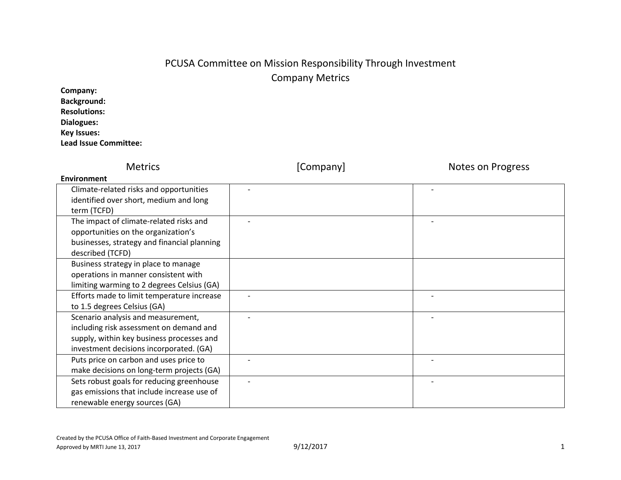# PCUSA Committee on Mission Responsibility Through Investment Company Metrics

| Company:                     |
|------------------------------|
| <b>Background:</b>           |
| <b>Resolutions:</b>          |
| Dialogues:                   |
| <b>Key Issues:</b>           |
| <b>Lead Issue Committee:</b> |

| <b>Metrics</b>                              | [Company] | <b>Notes on Progress</b> |
|---------------------------------------------|-----------|--------------------------|
| Environment                                 |           |                          |
| Climate-related risks and opportunities     |           |                          |
| identified over short, medium and long      |           |                          |
| term (TCFD)                                 |           |                          |
| The impact of climate-related risks and     |           |                          |
| opportunities on the organization's         |           |                          |
| businesses, strategy and financial planning |           |                          |
| described (TCFD)                            |           |                          |
| Business strategy in place to manage        |           |                          |
| operations in manner consistent with        |           |                          |
| limiting warming to 2 degrees Celsius (GA)  |           |                          |
| Efforts made to limit temperature increase  |           |                          |
| to 1.5 degrees Celsius (GA)                 |           |                          |
| Scenario analysis and measurement,          |           |                          |
| including risk assessment on demand and     |           |                          |
| supply, within key business processes and   |           |                          |
| investment decisions incorporated. (GA)     |           |                          |
| Puts price on carbon and uses price to      |           |                          |
| make decisions on long-term projects (GA)   |           |                          |
| Sets robust goals for reducing greenhouse   |           |                          |
| gas emissions that include increase use of  |           |                          |
| renewable energy sources (GA)               |           |                          |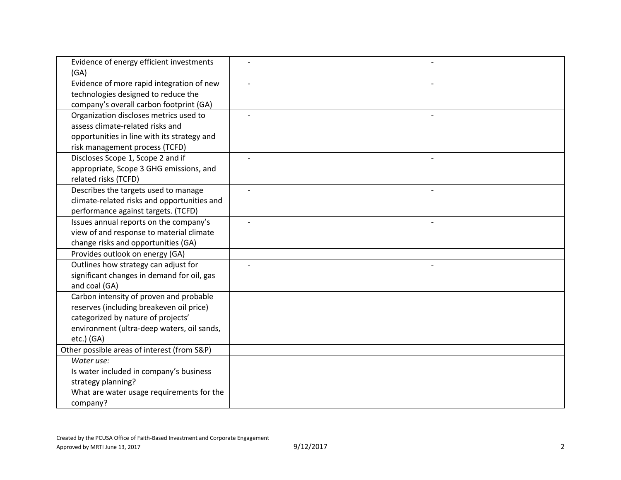| Evidence of energy efficient investments    |  |
|---------------------------------------------|--|
| (GA)                                        |  |
| Evidence of more rapid integration of new   |  |
| technologies designed to reduce the         |  |
| company's overall carbon footprint (GA)     |  |
| Organization discloses metrics used to      |  |
| assess climate-related risks and            |  |
| opportunities in line with its strategy and |  |
| risk management process (TCFD)              |  |
| Discloses Scope 1, Scope 2 and if           |  |
| appropriate, Scope 3 GHG emissions, and     |  |
| related risks (TCFD)                        |  |
| Describes the targets used to manage        |  |
| climate-related risks and opportunities and |  |
| performance against targets. (TCFD)         |  |
| Issues annual reports on the company's      |  |
| view of and response to material climate    |  |
| change risks and opportunities (GA)         |  |
| Provides outlook on energy (GA)             |  |
| Outlines how strategy can adjust for        |  |
| significant changes in demand for oil, gas  |  |
| and coal (GA)                               |  |
| Carbon intensity of proven and probable     |  |
| reserves (including breakeven oil price)    |  |
| categorized by nature of projects'          |  |
| environment (ultra-deep waters, oil sands,  |  |
| $etc.$ ) (GA)                               |  |
| Other possible areas of interest (from S&P) |  |
| Water use:                                  |  |
| Is water included in company's business     |  |
| strategy planning?                          |  |
| What are water usage requirements for the   |  |
| company?                                    |  |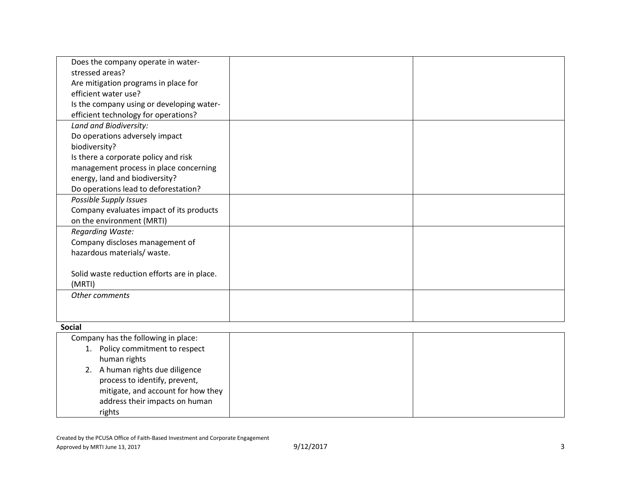| Does the company operate in water-          |  |
|---------------------------------------------|--|
| stressed areas?                             |  |
| Are mitigation programs in place for        |  |
| efficient water use?                        |  |
| Is the company using or developing water-   |  |
| efficient technology for operations?        |  |
| Land and Biodiversity:                      |  |
| Do operations adversely impact              |  |
| biodiversity?                               |  |
| Is there a corporate policy and risk        |  |
| management process in place concerning      |  |
| energy, land and biodiversity?              |  |
| Do operations lead to deforestation?        |  |
| Possible Supply Issues                      |  |
| Company evaluates impact of its products    |  |
| on the environment (MRTI)                   |  |
| <b>Regarding Waste:</b>                     |  |
| Company discloses management of             |  |
| hazardous materials/ waste.                 |  |
|                                             |  |
| Solid waste reduction efforts are in place. |  |
| (MRTI)                                      |  |
| Other comments                              |  |
|                                             |  |
|                                             |  |
| <b>Social</b>                               |  |
| Company has the following in place:         |  |
| 1. Policy commitment to respect             |  |
| human rights                                |  |
| 2. A human rights due diligence             |  |
| process to identify, prevent,               |  |
| mitigate, and account for how they          |  |
| address their impacts on human              |  |
| rights                                      |  |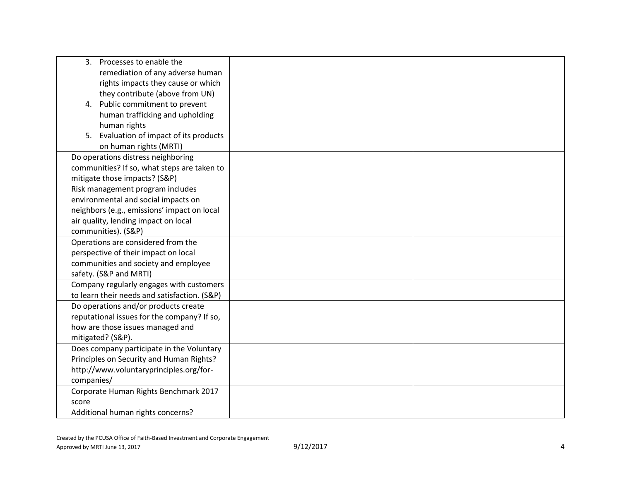| Processes to enable the<br>3.                |  |
|----------------------------------------------|--|
| remediation of any adverse human             |  |
| rights impacts they cause or which           |  |
| they contribute (above from UN)              |  |
| 4. Public commitment to prevent              |  |
| human trafficking and upholding              |  |
| human rights                                 |  |
| Evaluation of impact of its products<br>5.   |  |
| on human rights (MRTI)                       |  |
| Do operations distress neighboring           |  |
| communities? If so, what steps are taken to  |  |
| mitigate those impacts? (S&P)                |  |
| Risk management program includes             |  |
| environmental and social impacts on          |  |
| neighbors (e.g., emissions' impact on local  |  |
| air quality, lending impact on local         |  |
| communities). (S&P)                          |  |
| Operations are considered from the           |  |
| perspective of their impact on local         |  |
| communities and society and employee         |  |
| safety. (S&P and MRTI)                       |  |
| Company regularly engages with customers     |  |
| to learn their needs and satisfaction. (S&P) |  |
| Do operations and/or products create         |  |
| reputational issues for the company? If so,  |  |
| how are those issues managed and             |  |
| mitigated? (S&P).                            |  |
| Does company participate in the Voluntary    |  |
| Principles on Security and Human Rights?     |  |
| http://www.voluntaryprinciples.org/for-      |  |
| companies/                                   |  |
| Corporate Human Rights Benchmark 2017        |  |
| score                                        |  |
| Additional human rights concerns?            |  |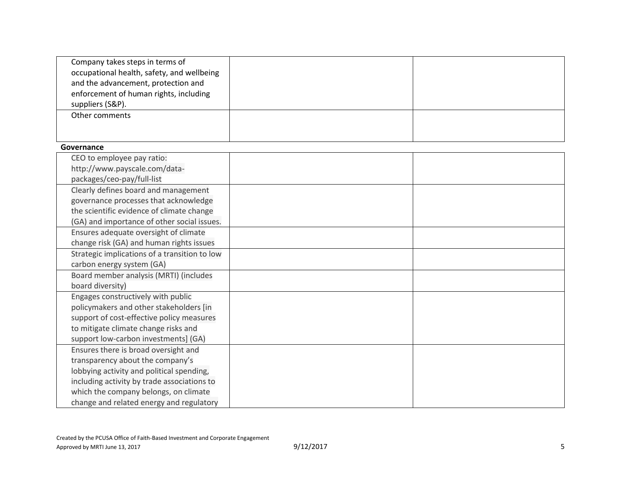| Company takes steps in terms of               |  |
|-----------------------------------------------|--|
| occupational health, safety, and wellbeing    |  |
| and the advancement, protection and           |  |
| enforcement of human rights, including        |  |
| suppliers (S&P).                              |  |
| Other comments                                |  |
|                                               |  |
|                                               |  |
| Governance                                    |  |
| CEO to employee pay ratio:                    |  |
| http://www.payscale.com/data-                 |  |
| packages/ceo-pay/full-list                    |  |
| Clearly defines board and management          |  |
| governance processes that acknowledge         |  |
| the scientific evidence of climate change     |  |
| (GA) and importance of other social issues.   |  |
| Ensures adequate oversight of climate         |  |
| change risk (GA) and human rights issues      |  |
| Strategic implications of a transition to low |  |
| carbon energy system (GA)                     |  |
| Board member analysis (MRTI) (includes        |  |
| board diversity)                              |  |
| Engages constructively with public            |  |
| policymakers and other stakeholders [in       |  |
| support of cost-effective policy measures     |  |
| to mitigate climate change risks and          |  |
| support low-carbon investments] (GA)          |  |
| Ensures there is broad oversight and          |  |
| transparency about the company's              |  |
| lobbying activity and political spending,     |  |
| including activity by trade associations to   |  |
| which the company belongs, on climate         |  |
| change and related energy and regulatory      |  |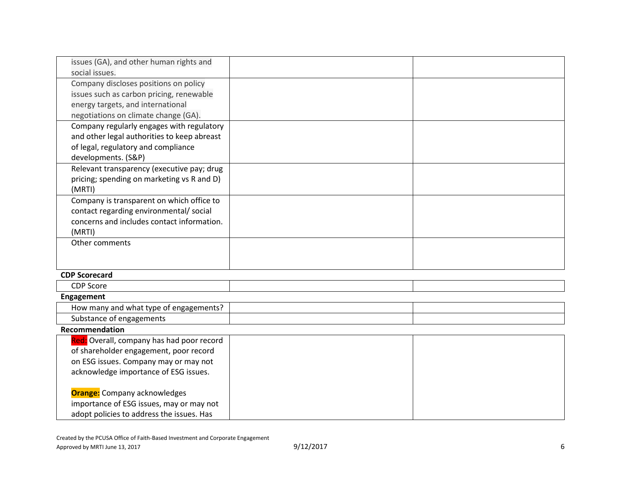| issues (GA), and other human rights and     |  |
|---------------------------------------------|--|
| social issues.                              |  |
| Company discloses positions on policy       |  |
| issues such as carbon pricing, renewable    |  |
| energy targets, and international           |  |
| negotiations on climate change (GA).        |  |
| Company regularly engages with regulatory   |  |
| and other legal authorities to keep abreast |  |
| of legal, regulatory and compliance         |  |
| developments. (S&P)                         |  |
| Relevant transparency (executive pay; drug  |  |
| pricing; spending on marketing vs R and D)  |  |
| (MRTI)                                      |  |
| Company is transparent on which office to   |  |
| contact regarding environmental/social      |  |
| concerns and includes contact information.  |  |
| (MRTI)                                      |  |
| Other comments                              |  |
|                                             |  |
|                                             |  |

## **CDP Scorecard**

| -- -<br>ີ⊂⊔∽<br>ouu |  |
|---------------------|--|

### **Engagement**

| ungagemen:<br>, what type .<br>$\sim$<br>⊣ov<br>and<br>many :<br>.<br>TILS |  |
|----------------------------------------------------------------------------|--|
| nent<br>.10206<br>. טי<br>stante                                           |  |

# **Recommendation**

| Red: Overall, company has had poor record |  |
|-------------------------------------------|--|
| of shareholder engagement, poor record    |  |
| on ESG issues. Company may or may not     |  |
| acknowledge importance of ESG issues.     |  |
|                                           |  |
| <b>Orange:</b> Company acknowledges       |  |
| importance of ESG issues, may or may not  |  |
| adopt policies to address the issues. Has |  |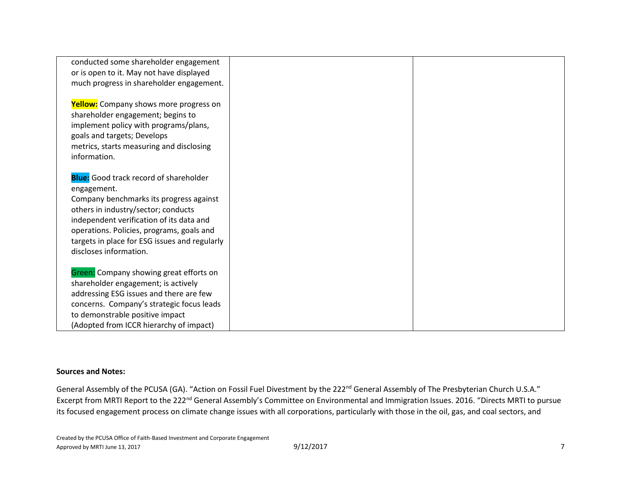| conducted some shareholder engagement         |  |
|-----------------------------------------------|--|
| or is open to it. May not have displayed      |  |
| much progress in shareholder engagement.      |  |
|                                               |  |
| <b>Yellow:</b> Company shows more progress on |  |
| shareholder engagement; begins to             |  |
| implement policy with programs/plans,         |  |
| goals and targets; Develops                   |  |
| metrics, starts measuring and disclosing      |  |
| information.                                  |  |
|                                               |  |
| <b>Blue:</b> Good track record of shareholder |  |
| engagement.                                   |  |
| Company benchmarks its progress against       |  |
| others in industry/sector; conducts           |  |
| independent verification of its data and      |  |
| operations. Policies, programs, goals and     |  |
| targets in place for ESG issues and regularly |  |
| discloses information.                        |  |
|                                               |  |
| Green: Company showing great efforts on       |  |
| shareholder engagement; is actively           |  |
| addressing ESG issues and there are few       |  |
| concerns. Company's strategic focus leads     |  |
| to demonstrable positive impact               |  |
| (Adopted from ICCR hierarchy of impact)       |  |

#### **Sources and Notes:**

General Assembly of the PCUSA (GA). "Action on Fossil Fuel Divestment by the 222<sup>nd</sup> General Assembly of The Presbyterian Church U.S.A." Excerpt from MRTI Report to the 222<sup>nd</sup> General Assembly's Committee on Environmental and Immigration Issues. 2016. "Directs MRTI to pursue its focused engagement process on climate change issues with all corporations, particularly with those in the oil, gas, and coal sectors, and